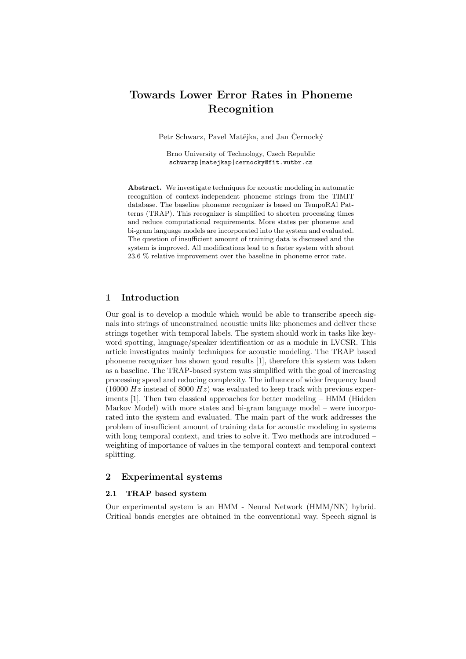# Towards Lower Error Rates in Phoneme Recognition

Petr Schwarz, Pavel Matějka, and Jan Černocký

Brno University of Technology, Czech Republic schwarzp|matejkap|cernocky@fit.vutbr.cz

Abstract. We investigate techniques for acoustic modeling in automatic recognition of context-independent phoneme strings from the TIMIT database. The baseline phoneme recognizer is based on TempoRAl Patterns (TRAP). This recognizer is simplified to shorten processing times and reduce computational requirements. More states per phoneme and bi-gram language models are incorporated into the system and evaluated. The question of insufficient amount of training data is discussed and the system is improved. All modifications lead to a faster system with about 23.6 % relative improvement over the baseline in phoneme error rate.

# 1 Introduction

Our goal is to develop a module which would be able to transcribe speech signals into strings of unconstrained acoustic units like phonemes and deliver these strings together with temporal labels. The system should work in tasks like keyword spotting, language/speaker identification or as a module in LVCSR. This article investigates mainly techniques for acoustic modeling. The TRAP based phoneme recognizer has shown good results [1], therefore this system was taken as a baseline. The TRAP-based system was simplified with the goal of increasing processing speed and reducing complexity. The influence of wider frequency band (16000  $Hz$  instead of 8000  $Hz$ ) was evaluated to keep track with previous experiments [1]. Then two classical approaches for better modeling – HMM (Hidden Markov Model) with more states and bi-gram language model – were incorporated into the system and evaluated. The main part of the work addresses the problem of insufficient amount of training data for acoustic modeling in systems with long temporal context, and tries to solve it. Two methods are introduced – weighting of importance of values in the temporal context and temporal context splitting.

## 2 Experimental systems

#### 2.1 TRAP based system

Our experimental system is an HMM - Neural Network (HMM/NN) hybrid. Critical bands energies are obtained in the conventional way. Speech signal is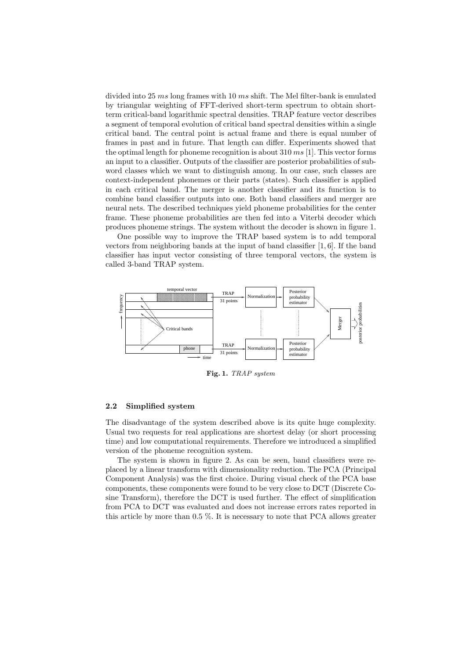divided into 25 ms long frames with 10 ms shift. The Mel filter-bank is emulated by triangular weighting of FFT-derived short-term spectrum to obtain shortterm critical-band logarithmic spectral densities. TRAP feature vector describes a segment of temporal evolution of critical band spectral densities within a single critical band. The central point is actual frame and there is equal number of frames in past and in future. That length can differ. Experiments showed that the optimal length for phoneme recognition is about  $310 \text{ ms}$  [1]. This vector forms an input to a classifier. Outputs of the classifier are posterior probabilities of subword classes which we want to distinguish among. In our case, such classes are context-independent phonemes or their parts (states). Such classifier is applied in each critical band. The merger is another classifier and its function is to combine band classifier outputs into one. Both band classifiers and merger are neural nets. The described techniques yield phoneme probabilities for the center frame. These phoneme probabilities are then fed into a Viterbi decoder which produces phoneme strings. The system without the decoder is shown in figure 1.

One possible way to improve the TRAP based system is to add temporal vectors from neighboring bands at the input of band classifier [1, 6]. If the band classifier has input vector consisting of three temporal vectors, the system is called 3-band TRAP system.



Fig. 1. TRAP system

#### 2.2 Simplified system

The disadvantage of the system described above is its quite huge complexity. Usual two requests for real applications are shortest delay (or short processing time) and low computational requirements. Therefore we introduced a simplified version of the phoneme recognition system.

The system is shown in figure 2. As can be seen, band classifiers were replaced by a linear transform with dimensionality reduction. The PCA (Principal Component Analysis) was the first choice. During visual check of the PCA base components, these components were found to be very close to DCT (Discrete Cosine Transform), therefore the DCT is used further. The effect of simplification from PCA to DCT was evaluated and does not increase errors rates reported in this article by more than 0.5 %. It is necessary to note that PCA allows greater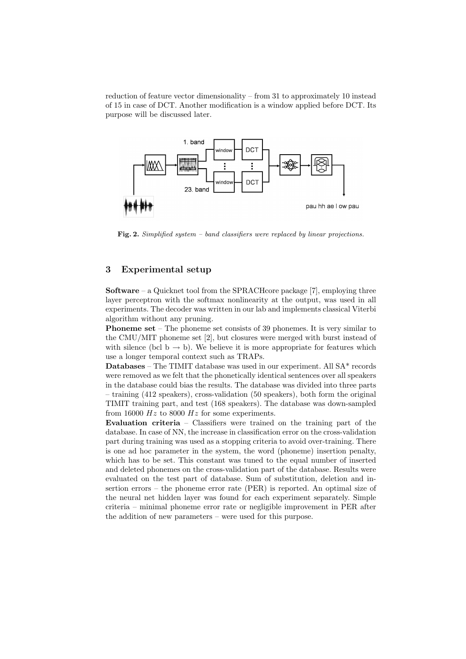reduction of feature vector dimensionality – from 31 to approximately 10 instead of 15 in case of DCT. Another modification is a window applied before DCT. Its purpose will be discussed later.



Fig. 2. Simplified system – band classifiers were replaced by linear projections.

# 3 Experimental setup

Software – a Quicknet tool from the SPRACHcore package [7], employing three layer perceptron with the softmax nonlinearity at the output, was used in all experiments. The decoder was written in our lab and implements classical Viterbi algorithm without any pruning.

**Phoneme set** – The phoneme set consists of 39 phonemes. It is very similar to the CMU/MIT phoneme set [2], but closures were merged with burst instead of with silence (bcl b  $\rightarrow$  b). We believe it is more appropriate for features which use a longer temporal context such as TRAPs.

Databases – The TIMIT database was used in our experiment. All SA\* records were removed as we felt that the phonetically identical sentences over all speakers in the database could bias the results. The database was divided into three parts – training (412 speakers), cross-validation (50 speakers), both form the original TIMIT training part, and test (168 speakers). The database was down-sampled from 16000  $Hz$  to 8000  $Hz$  for some experiments.

Evaluation criteria – Classifiers were trained on the training part of the database. In case of NN, the increase in classification error on the cross-validation part during training was used as a stopping criteria to avoid over-training. There is one ad hoc parameter in the system, the word (phoneme) insertion penalty, which has to be set. This constant was tuned to the equal number of inserted and deleted phonemes on the cross-validation part of the database. Results were evaluated on the test part of database. Sum of substitution, deletion and insertion errors – the phoneme error rate (PER) is reported. An optimal size of the neural net hidden layer was found for each experiment separately. Simple criteria – minimal phoneme error rate or negligible improvement in PER after the addition of new parameters – were used for this purpose.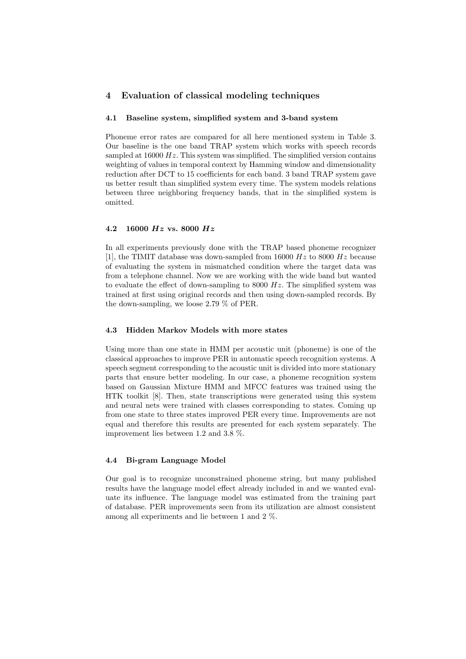# 4 Evaluation of classical modeling techniques

#### 4.1 Baseline system, simplified system and 3-band system

Phoneme error rates are compared for all here mentioned system in Table 3. Our baseline is the one band TRAP system which works with speech records sampled at 16000  $Hz$ . This system was simplified. The simplified version contains weighting of values in temporal context by Hamming window and dimensionality reduction after DCT to 15 coefficients for each band. 3 band TRAP system gave us better result than simplified system every time. The system models relations between three neighboring frequency bands, that in the simplified system is omitted.

## 4.2 16000  $Hz$  vs. 8000  $Hz$

In all experiments previously done with the TRAP based phoneme recognizer [1], the TIMIT database was down-sampled from 16000  $Hz$  to 8000  $Hz$  because of evaluating the system in mismatched condition where the target data was from a telephone channel. Now we are working with the wide band but wanted to evaluate the effect of down-sampling to 8000  $Hz$ . The simplified system was trained at first using original records and then using down-sampled records. By the down-sampling, we loose 2.79 % of PER.

## 4.3 Hidden Markov Models with more states

Using more than one state in HMM per acoustic unit (phoneme) is one of the classical approaches to improve PER in automatic speech recognition systems. A speech segment corresponding to the acoustic unit is divided into more stationary parts that ensure better modeling. In our case, a phoneme recognition system based on Gaussian Mixture HMM and MFCC features was trained using the HTK toolkit [8]. Then, state transcriptions were generated using this system and neural nets were trained with classes corresponding to states. Coming up from one state to three states improved PER every time. Improvements are not equal and therefore this results are presented for each system separately. The improvement lies between 1.2 and 3.8 %.

#### 4.4 Bi-gram Language Model

Our goal is to recognize unconstrained phoneme string, but many published results have the language model effect already included in and we wanted evaluate its influence. The language model was estimated from the training part of database. PER improvements seen from its utilization are almost consistent among all experiments and lie between 1 and 2 %.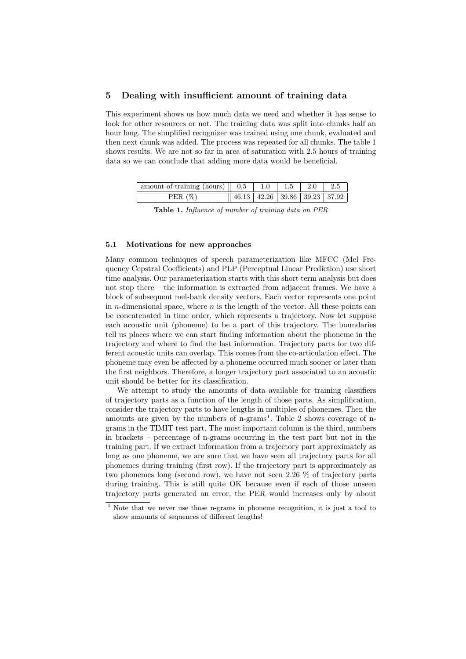## 5 Dealing with insufficient amount of training data

This experiment shows us how much data we need and whether it has sense to look for other resources or not. The training data was split into chunks half an hour long. The simplified recognizer was trained using one chunk, evaluated and then next chunk was added. The process was repeated for all chunks. The table 1 shows results. We are not so far in area of saturation with 2.5 hours of training data so we can conclude that adding more data would be beneficial.

| amount of training (hours) $\begin{array}{ c c c c } \hline 0.5 & 1.0 \\ \hline \end{array}$ |                                                   | $\vert$ 1.5 | $\perp$ 2.0 |  |
|----------------------------------------------------------------------------------------------|---------------------------------------------------|-------------|-------------|--|
| PER $(\%)$                                                                                   | $\parallel$ 46.13   42.26   39.86   39.23   37.92 |             |             |  |

Table 1. Influence of number of training data on PER

#### 5.1 Motivations for new approaches

Many common techniques of speech parameterization like MFCC (Mel Frequency Cepstral Coefficients) and PLP (Perceptual Linear Prediction) use short time analysis. Our parameterization starts with this short term analysis but does not stop there – the information is extracted from adjacent frames. We have a block of subsequent mel-bank density vectors. Each vector represents one point in n-dimensional space, where  $n$  is the length of the vector. All these points can be concatenated in time order, which represents a trajectory. Now let suppose each acoustic unit (phoneme) to be a part of this trajectory. The boundaries tell us places where we can start finding information about the phoneme in the trajectory and where to find the last information. Trajectory parts for two different acoustic units can overlap. This comes from the co-articulation effect. The phoneme may even be affected by a phoneme occurred much sooner or later than the first neighbors. Therefore, a longer trajectory part associated to an acoustic unit should be better for its classification.

We attempt to study the amounts of data available for training classifiers of trajectory parts as a function of the length of those parts. As simplification, consider the trajectory parts to have lengths in multiples of phonemes. Then the amounts are given by the numbers of  $n$ -grams<sup>1</sup>. Table 2 shows coverage of ngrams in the TIMIT test part. The most important column is the third, numbers in brackets – percentage of n-grams occurring in the test part but not in the training part. If we extract information from a trajectory part approximately as long as one phoneme, we are sure that we have seen all trajectory parts for all phonemes during training (first row). If the trajectory part is approximately as two phonemes long (second row), we have not seen 2.26 % of trajectory parts during training. This is still quite OK because even if each of those unseen trajectory parts generated an error, the PER would increases only by about

 $1$  Note that we never use those n-grams in phoneme recognition, it is just a tool to show amounts of sequences of different lengths!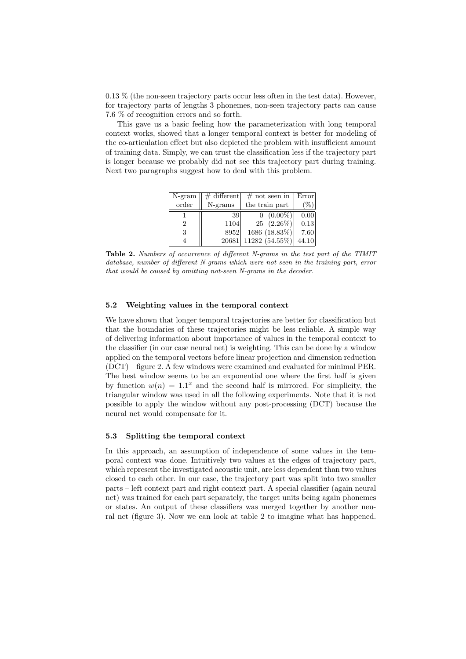$0.13\%$  (the non-seen trajectory parts occur less often in the test data). However, for trajectory parts of lengths 3 phonemes, non-seen trajectory parts can cause 7.6 % of recognition errors and so forth.

This gave us a basic feeling how the parameterization with long temporal context works, showed that a longer temporal context is better for modeling of the co-articulation effect but also depicted the problem with insufficient amount of training data. Simply, we can trust the classification less if the trajectory part is longer because we probably did not see this trajectory part during training. Next two paragraphs suggest how to deal with this problem.

| $N-gram$<br>order | $#$ different<br>$N-grams$ | $#$ not seen in<br>the train part | Error |
|-------------------|----------------------------|-----------------------------------|-------|
|                   | 39                         | $0(0.00\%)$                       | 0.00  |
| 2                 | 1104                       | $25(2.26\%)$                      | 0.13  |
| 3                 | 8952                       | 1686 (18.83%)                     | 7.60  |
|                   | 20681                      | 11282 (54.55%)                    | 44.10 |

Table 2. Numbers of occurrence of different N-grams in the test part of the TIMIT database, number of different N-grams which were not seen in the training part, error that would be caused by omitting not-seen N-grams in the decoder.

#### 5.2 Weighting values in the temporal context

We have shown that longer temporal trajectories are better for classification but that the boundaries of these trajectories might be less reliable. A simple way of delivering information about importance of values in the temporal context to the classifier (in our case neural net) is weighting. This can be done by a window applied on the temporal vectors before linear projection and dimension reduction (DCT) – figure 2. A few windows were examined and evaluated for minimal PER. The best window seems to be an exponential one where the first half is given by function  $w(n) = 1.1<sup>x</sup>$  and the second half is mirrored. For simplicity, the triangular window was used in all the following experiments. Note that it is not possible to apply the window without any post-processing (DCT) because the neural net would compensate for it.

#### 5.3 Splitting the temporal context

In this approach, an assumption of independence of some values in the temporal context was done. Intuitively two values at the edges of trajectory part, which represent the investigated acoustic unit, are less dependent than two values closed to each other. In our case, the trajectory part was split into two smaller parts – left context part and right context part. A special classifier (again neural net) was trained for each part separately, the target units being again phonemes or states. An output of these classifiers was merged together by another neural net (figure 3). Now we can look at table 2 to imagine what has happened.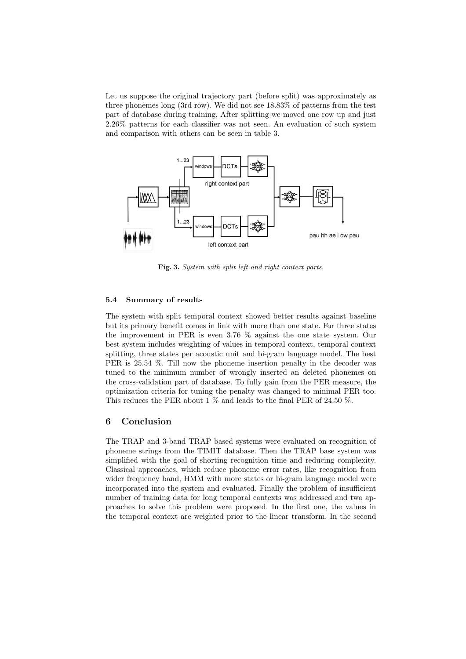Let us suppose the original trajectory part (before split) was approximately as three phonemes long (3rd row). We did not see 18.83% of patterns from the test part of database during training. After splitting we moved one row up and just 2.26% patterns for each classifier was not seen. An evaluation of such system and comparison with others can be seen in table 3.



Fig. 3. System with split left and right context parts.

#### 5.4 Summary of results

The system with split temporal context showed better results against baseline but its primary benefit comes in link with more than one state. For three states the improvement in PER is even 3.76 % against the one state system. Our best system includes weighting of values in temporal context, temporal context splitting, three states per acoustic unit and bi-gram language model. The best PER is 25.54 %. Till now the phoneme insertion penalty in the decoder was tuned to the minimum number of wrongly inserted an deleted phonemes on the cross-validation part of database. To fully gain from the PER measure, the optimization criteria for tuning the penalty was changed to minimal PER too. This reduces the PER about 1 % and leads to the final PER of 24.50 %.

# 6 Conclusion

The TRAP and 3-band TRAP based systems were evaluated on recognition of phoneme strings from the TIMIT database. Then the TRAP base system was simplified with the goal of shorting recognition time and reducing complexity. Classical approaches, which reduce phoneme error rates, like recognition from wider frequency band, HMM with more states or bi-gram language model were incorporated into the system and evaluated. Finally the problem of insufficient number of training data for long temporal contexts was addressed and two approaches to solve this problem were proposed. In the first one, the values in the temporal context are weighted prior to the linear transform. In the second